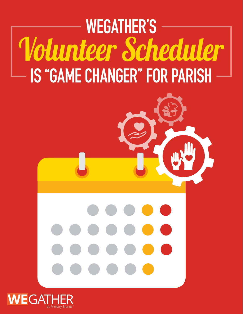## **WEGATHER'S** Volunteer Scheduler **IS "GAME CHANGER" FOR PARISH**

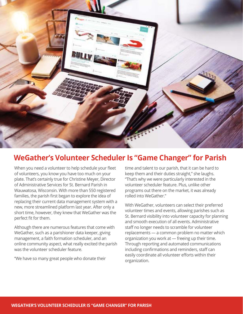

## **WeGather's Volunteer Scheduler Is "Game Changer" for Parish**

When you need a volunteer to help schedule your fleet of volunteers, you know you have too much on your plate. That's certainly true for Christine Meyer, Director of Administrative Services for St. Bernard Parish in Wauwatosa, Wisconsin. With more than 550 registered families, the parish first began to explore the idea of replacing their current data management system with a new, more streamlined platform last year. After only a short time, however, they knew that WeGather was the perfect fit for them.

Although there are numerous features that come with WeGather, such as a parishioner data keeper, giving management, a faith formation scheduler, and an online community aspect, what really excited the parish was the volunteer scheduler feature.

"We have so many great people who donate their

time and talent to our parish, that it can be hard to keep them and their duties straight," she laughs. "That's why we were particularly interested in the volunteer scheduler feature. Plus, unlike other programs out there on the market, it was already rolled into WeGather."

With WeGather, volunteers can select their preferred volunteer times and events, allowing parishes such as St. Bernard visibility into volunteer capacity for planning and smooth execution of all events. Administrative staff no longer needs to scramble for volunteer replacements — a common problem no matter which organization you work at — freeing up their time. Through reporting and automated communications including confirmations and reminders, staff can easily coordinate all volunteer efforts within their organization.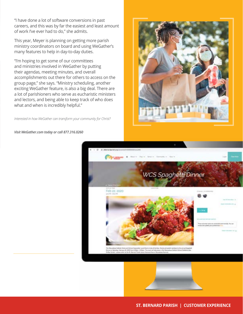"I have done a lot of software conversions in past careers, and this was by far the easiest and least amount of work I've ever had to do," she admits.

This year, Meyer is planning on getting more parish ministry coordinators on board and using WeGather's many features to help in day-to-day duties.

"I'm hoping to get some of our committees and ministries involved in WeGather by putting their agendas, meeting minutes, and overall accomplishments out there for others to access on the group page," she says. "Ministry scheduling, another exciting WeGather feature, is also a big deal. There are a lot of parishioners who serve as eucharistic ministers and lectors, and being able to keep track of who does what and when is incredibly helpful."

*Interested in how WeGather can transform your community for Christ?* 

*Visit WeGather.com today or call 877.316.0260*